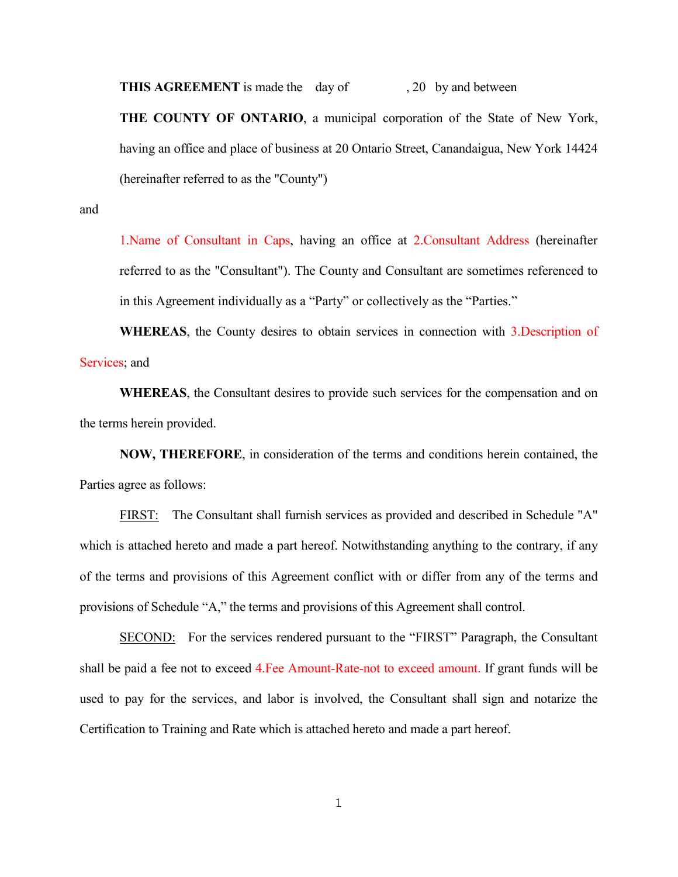**THIS AGREEMENT** is made the day of , 20 by and between

**THE COUNTY OF ONTARIO**, a municipal corporation of the State of New York, having an office and place of business at 20 Ontario Street, Canandaigua, New York 14424 (hereinafter referred to as the "County")

and

1.Name of Consultant in Caps, having an office at 2.Consultant Address (hereinafter referred to as the "Consultant"). The County and Consultant are sometimes referenced to in this Agreement individually as a "Party" or collectively as the "Parties."

**WHEREAS**, the County desires to obtain services in connection with 3.Description of Services; and

**WHEREAS**, the Consultant desires to provide such services for the compensation and on the terms herein provided.

**NOW, THEREFORE**, in consideration of the terms and conditions herein contained, the Parties agree as follows:

FIRST: The Consultant shall furnish services as provided and described in Schedule "A" which is attached hereto and made a part hereof. Notwithstanding anything to the contrary, if any of the terms and provisions of this Agreement conflict with or differ from any of the terms and provisions of Schedule "A," the terms and provisions of this Agreement shall control.

SECOND: For the services rendered pursuant to the "FIRST" Paragraph, the Consultant shall be paid a fee not to exceed 4.Fee Amount-Rate-not to exceed amount. If grant funds will be used to pay for the services, and labor is involved, the Consultant shall sign and notarize the Certification to Training and Rate which is attached hereto and made a part hereof.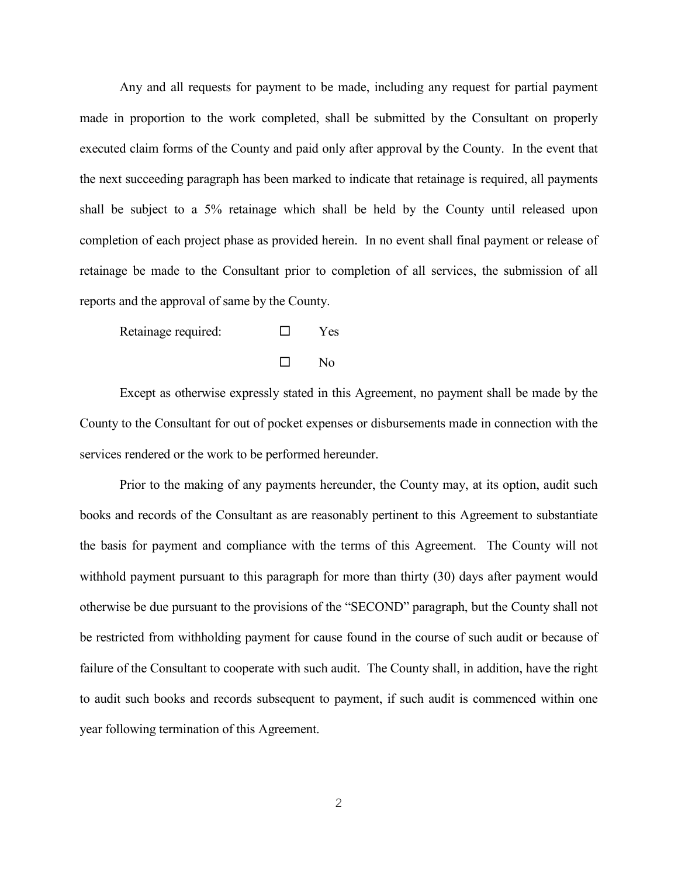Any and all requests for payment to be made, including any request for partial payment made in proportion to the work completed, shall be submitted by the Consultant on properly executed claim forms of the County and paid only after approval by the County. In the event that the next succeeding paragraph has been marked to indicate that retainage is required, all payments shall be subject to a 5% retainage which shall be held by the County until released upon completion of each project phase as provided herein. In no event shall final payment or release of retainage be made to the Consultant prior to completion of all services, the submission of all reports and the approval of same by the County.

Retainage required:  $\square$  Yes

 $\square$  No

Except as otherwise expressly stated in this Agreement, no payment shall be made by the County to the Consultant for out of pocket expenses or disbursements made in connection with the services rendered or the work to be performed hereunder.

Prior to the making of any payments hereunder, the County may, at its option, audit such books and records of the Consultant as are reasonably pertinent to this Agreement to substantiate the basis for payment and compliance with the terms of this Agreement. The County will not withhold payment pursuant to this paragraph for more than thirty (30) days after payment would otherwise be due pursuant to the provisions of the "SECOND" paragraph, but the County shall not be restricted from withholding payment for cause found in the course of such audit or because of failure of the Consultant to cooperate with such audit. The County shall, in addition, have the right to audit such books and records subsequent to payment, if such audit is commenced within one year following termination of this Agreement.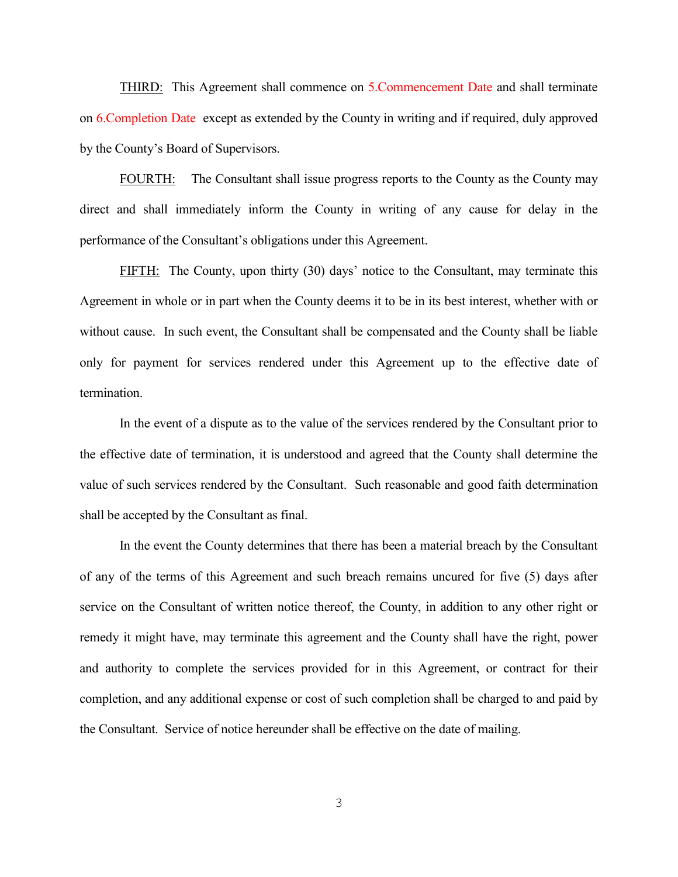THIRD: This Agreement shall commence on 5.Commencement Date and shall terminate on 6.Completion Date except as extended by the County in writing and if required, duly approved by the County's Board of Supervisors.

FOURTH: The Consultant shall issue progress reports to the County as the County may direct and shall immediately inform the County in writing of any cause for delay in the performance of the Consultant's obligations under this Agreement.

FIFTH: The County, upon thirty (30) days' notice to the Consultant, may terminate this Agreement in whole or in part when the County deems it to be in its best interest, whether with or without cause. In such event, the Consultant shall be compensated and the County shall be liable only for payment for services rendered under this Agreement up to the effective date of termination.

In the event of a dispute as to the value of the services rendered by the Consultant prior to the effective date of termination, it is understood and agreed that the County shall determine the value of such services rendered by the Consultant. Such reasonable and good faith determination shall be accepted by the Consultant as final.

In the event the County determines that there has been a material breach by the Consultant of any of the terms of this Agreement and such breach remains uncured for five (5) days after service on the Consultant of written notice thereof, the County, in addition to any other right or remedy it might have, may terminate this agreement and the County shall have the right, power and authority to complete the services provided for in this Agreement, or contract for their completion, and any additional expense or cost of such completion shall be charged to and paid by the Consultant. Service of notice hereunder shall be effective on the date of mailing.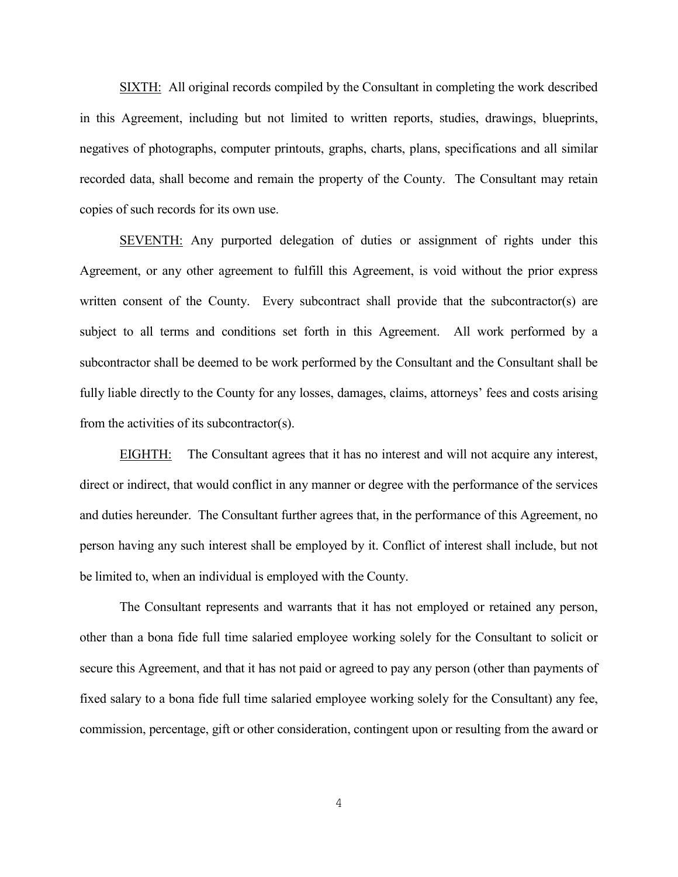SIXTH: All original records compiled by the Consultant in completing the work described in this Agreement, including but not limited to written reports, studies, drawings, blueprints, negatives of photographs, computer printouts, graphs, charts, plans, specifications and all similar recorded data, shall become and remain the property of the County. The Consultant may retain copies of such records for its own use.

SEVENTH: Any purported delegation of duties or assignment of rights under this Agreement, or any other agreement to fulfill this Agreement, is void without the prior express written consent of the County. Every subcontract shall provide that the subcontractor(s) are subject to all terms and conditions set forth in this Agreement. All work performed by a subcontractor shall be deemed to be work performed by the Consultant and the Consultant shall be fully liable directly to the County for any losses, damages, claims, attorneys' fees and costs arising from the activities of its subcontractor(s).

EIGHTH: The Consultant agrees that it has no interest and will not acquire any interest, direct or indirect, that would conflict in any manner or degree with the performance of the services and duties hereunder. The Consultant further agrees that, in the performance of this Agreement, no person having any such interest shall be employed by it. Conflict of interest shall include, but not be limited to, when an individual is employed with the County.

The Consultant represents and warrants that it has not employed or retained any person, other than a bona fide full time salaried employee working solely for the Consultant to solicit or secure this Agreement, and that it has not paid or agreed to pay any person (other than payments of fixed salary to a bona fide full time salaried employee working solely for the Consultant) any fee, commission, percentage, gift or other consideration, contingent upon or resulting from the award or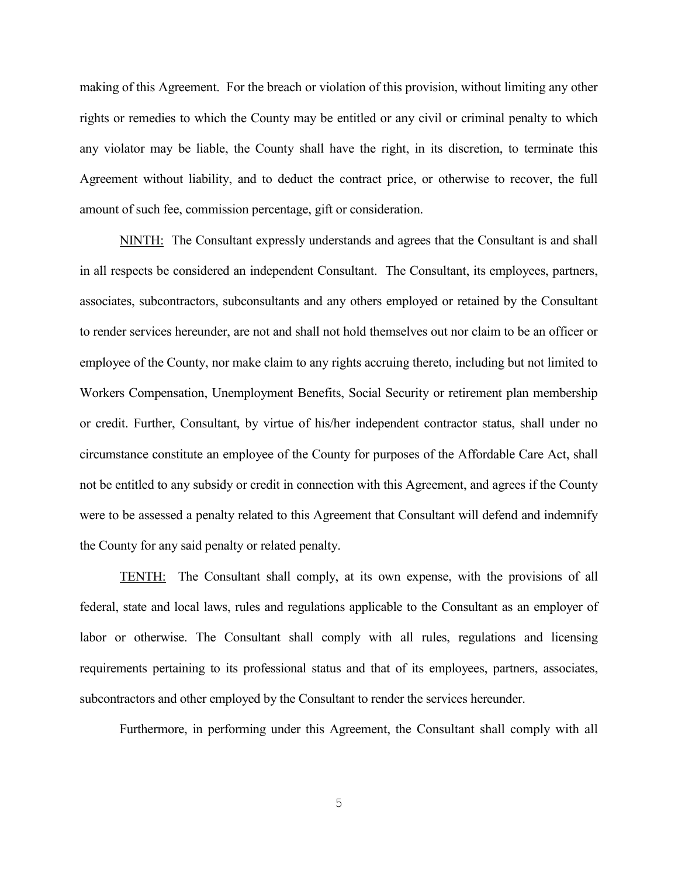making of this Agreement. For the breach or violation of this provision, without limiting any other rights or remedies to which the County may be entitled or any civil or criminal penalty to which any violator may be liable, the County shall have the right, in its discretion, to terminate this Agreement without liability, and to deduct the contract price, or otherwise to recover, the full amount of such fee, commission percentage, gift or consideration.

NINTH: The Consultant expressly understands and agrees that the Consultant is and shall in all respects be considered an independent Consultant. The Consultant, its employees, partners, associates, subcontractors, subconsultants and any others employed or retained by the Consultant to render services hereunder, are not and shall not hold themselves out nor claim to be an officer or employee of the County, nor make claim to any rights accruing thereto, including but not limited to Workers Compensation, Unemployment Benefits, Social Security or retirement plan membership or credit. Further, Consultant, by virtue of his/her independent contractor status, shall under no circumstance constitute an employee of the County for purposes of the Affordable Care Act, shall not be entitled to any subsidy or credit in connection with this Agreement, and agrees if the County were to be assessed a penalty related to this Agreement that Consultant will defend and indemnify the County for any said penalty or related penalty.

TENTH: The Consultant shall comply, at its own expense, with the provisions of all federal, state and local laws, rules and regulations applicable to the Consultant as an employer of labor or otherwise. The Consultant shall comply with all rules, regulations and licensing requirements pertaining to its professional status and that of its employees, partners, associates, subcontractors and other employed by the Consultant to render the services hereunder.

Furthermore, in performing under this Agreement, the Consultant shall comply with all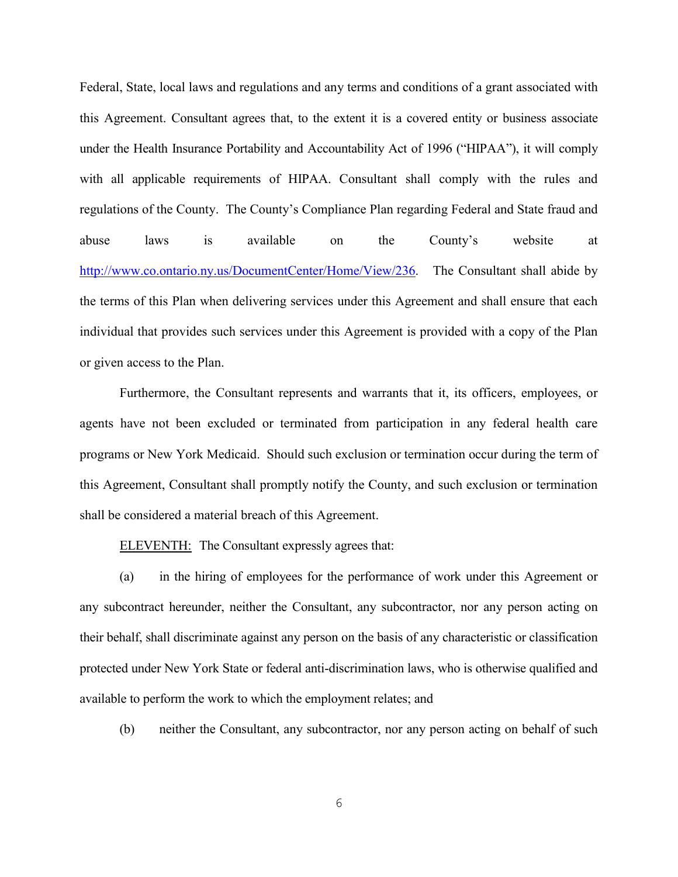Federal, State, local laws and regulations and any terms and conditions of a grant associated with this Agreement. Consultant agrees that, to the extent it is a covered entity or business associate under the Health Insurance Portability and Accountability Act of 1996 ("HIPAA"), it will comply with all applicable requirements of HIPAA. Consultant shall comply with the rules and regulations of the County. The County's Compliance Plan regarding Federal and State fraud and abuse laws is available on the County's website at http://www.co.ontario.ny.us/DocumentCenter/Home/View/236. The Consultant shall abide by the terms of this Plan when delivering services under this Agreement and shall ensure that each individual that provides such services under this Agreement is provided with a copy of the Plan or given access to the Plan.

Furthermore, the Consultant represents and warrants that it, its officers, employees, or agents have not been excluded or terminated from participation in any federal health care programs or New York Medicaid. Should such exclusion or termination occur during the term of this Agreement, Consultant shall promptly notify the County, and such exclusion or termination shall be considered a material breach of this Agreement.

ELEVENTH: The Consultant expressly agrees that:

(a) in the hiring of employees for the performance of work under this Agreement or any subcontract hereunder, neither the Consultant, any subcontractor, nor any person acting on their behalf, shall discriminate against any person on the basis of any characteristic or classification protected under New York State or federal anti-discrimination laws, who is otherwise qualified and available to perform the work to which the employment relates; and

(b) neither the Consultant, any subcontractor, nor any person acting on behalf of such

6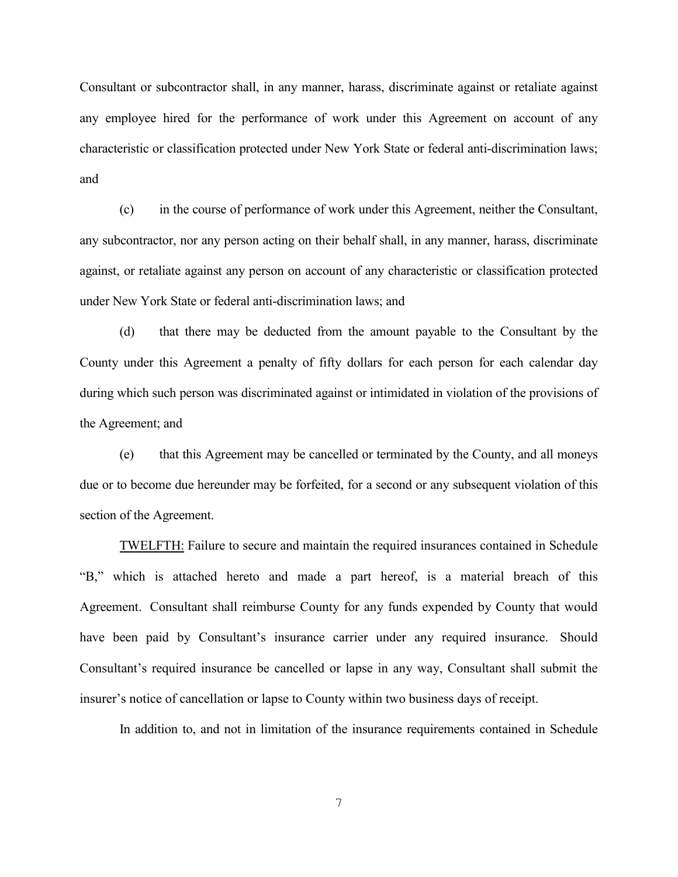Consultant or subcontractor shall, in any manner, harass, discriminate against or retaliate against any employee hired for the performance of work under this Agreement on account of any characteristic or classification protected under New York State or federal anti-discrimination laws; and

(c) in the course of performance of work under this Agreement, neither the Consultant, any subcontractor, nor any person acting on their behalf shall, in any manner, harass, discriminate against, or retaliate against any person on account of any characteristic or classification protected under New York State or federal anti-discrimination laws; and

(d) that there may be deducted from the amount payable to the Consultant by the County under this Agreement a penalty of fifty dollars for each person for each calendar day during which such person was discriminated against or intimidated in violation of the provisions of the Agreement; and

(e) that this Agreement may be cancelled or terminated by the County, and all moneys due or to become due hereunder may be forfeited, for a second or any subsequent violation of this section of the Agreement.

TWELFTH: Failure to secure and maintain the required insurances contained in Schedule "B," which is attached hereto and made a part hereof, is a material breach of this Agreement. Consultant shall reimburse County for any funds expended by County that would have been paid by Consultant's insurance carrier under any required insurance. Should Consultant's required insurance be cancelled or lapse in any way, Consultant shall submit the insurer's notice of cancellation or lapse to County within two business days of receipt.

In addition to, and not in limitation of the insurance requirements contained in Schedule

7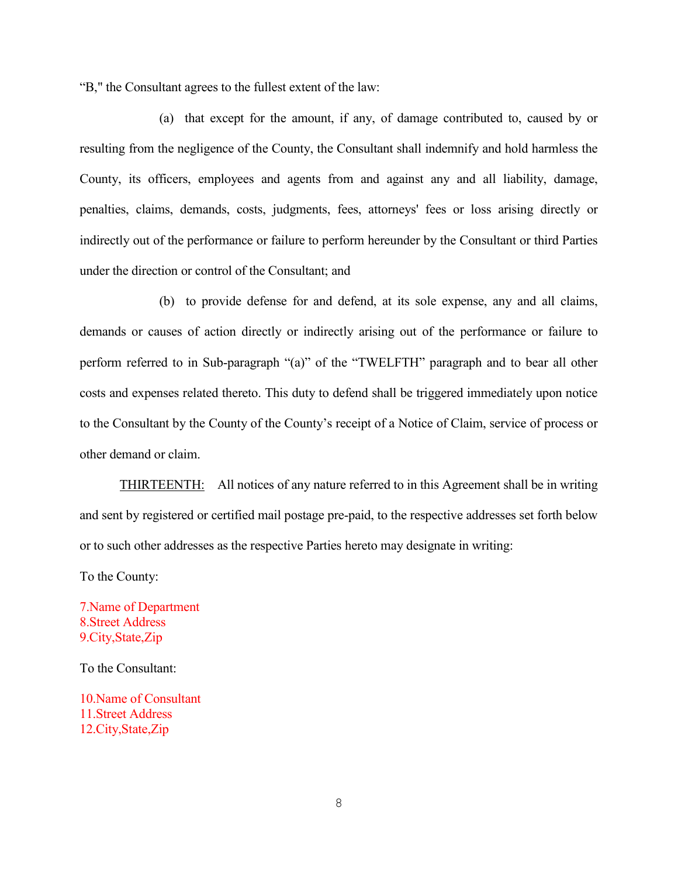"B," the Consultant agrees to the fullest extent of the law:

(a) that except for the amount, if any, of damage contributed to, caused by or resulting from the negligence of the County, the Consultant shall indemnify and hold harmless the County, its officers, employees and agents from and against any and all liability, damage, penalties, claims, demands, costs, judgments, fees, attorneys' fees or loss arising directly or indirectly out of the performance or failure to perform hereunder by the Consultant or third Parties under the direction or control of the Consultant; and

(b) to provide defense for and defend, at its sole expense, any and all claims, demands or causes of action directly or indirectly arising out of the performance or failure to perform referred to in Sub-paragraph "(a)" of the "TWELFTH" paragraph and to bear all other costs and expenses related thereto. This duty to defend shall be triggered immediately upon notice to the Consultant by the County of the County's receipt of a Notice of Claim, service of process or other demand or claim.

THIRTEENTH: All notices of any nature referred to in this Agreement shall be in writing and sent by registered or certified mail postage pre-paid, to the respective addresses set forth below or to such other addresses as the respective Parties hereto may designate in writing:

To the County:

7.Name of Department 8.Street Address 9.City,State,Zip

To the Consultant:

10.Name of Consultant 11.Street Address 12.City,State,Zip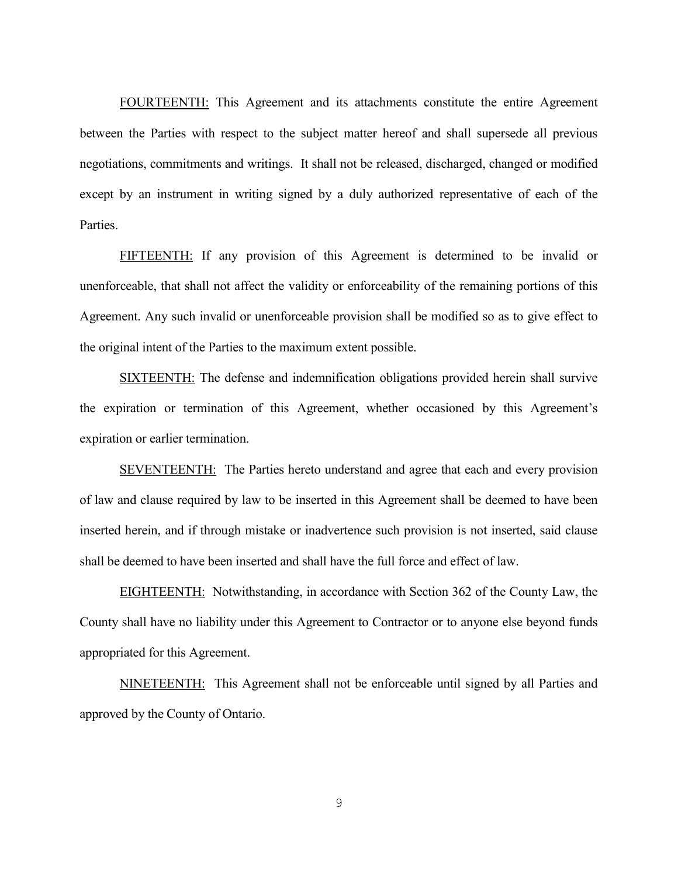FOURTEENTH: This Agreement and its attachments constitute the entire Agreement between the Parties with respect to the subject matter hereof and shall supersede all previous negotiations, commitments and writings. It shall not be released, discharged, changed or modified except by an instrument in writing signed by a duly authorized representative of each of the Parties.

FIFTEENTH: If any provision of this Agreement is determined to be invalid or unenforceable, that shall not affect the validity or enforceability of the remaining portions of this Agreement. Any such invalid or unenforceable provision shall be modified so as to give effect to the original intent of the Parties to the maximum extent possible.

SIXTEENTH: The defense and indemnification obligations provided herein shall survive the expiration or termination of this Agreement, whether occasioned by this Agreement's expiration or earlier termination.

SEVENTEENTH: The Parties hereto understand and agree that each and every provision of law and clause required by law to be inserted in this Agreement shall be deemed to have been inserted herein, and if through mistake or inadvertence such provision is not inserted, said clause shall be deemed to have been inserted and shall have the full force and effect of law.

EIGHTEENTH: Notwithstanding, in accordance with Section 362 of the County Law, the County shall have no liability under this Agreement to Contractor or to anyone else beyond funds appropriated for this Agreement.

NINETEENTH: This Agreement shall not be enforceable until signed by all Parties and approved by the County of Ontario.

9